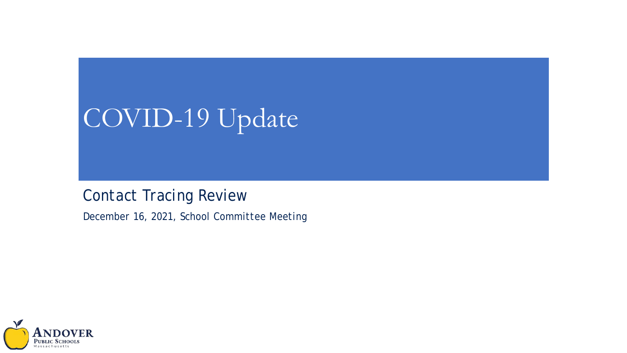# COVID-19 Update

*Contact Tracing Review*

*December 16, 2021, School Committee Meeting*

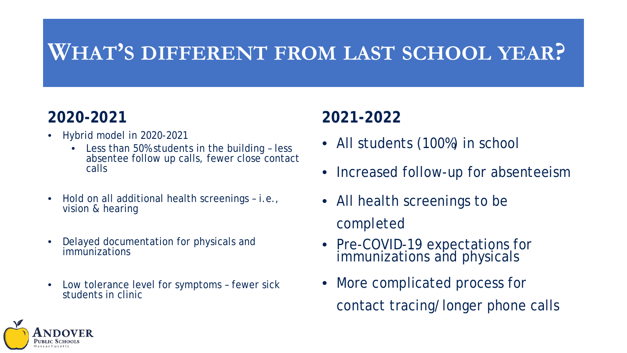#### **WHAT'S DIFFERENT FROM LAST SCHOOL YEAR?**

#### **2020-2021**

- Hybrid model in 2020-2021
	- Less than 50% students in the building less absentee follow up calls, fewer close contact calls
- Hold on all additional health screenings i.e., vision & hearing
- Delayed documentation for physicals and immunizations
- Low tolerance level for symptoms fewer sick students in clinic

#### **2021-2022**

- All students (100%) in school
- Increased follow-up for absenteeism
- All health screenings to be completed
- Pre-COVID-19 expectations for immunizations and physicals
- More complicated process for contact tracing/longer phone calls

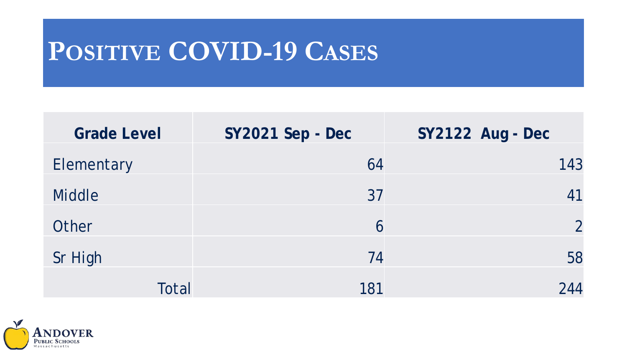# **POSITIVE COVID-19 CASES**

| <b>Grade Level</b> | SY2021 Sep - Dec | SY2122 Aug - Dec |
|--------------------|------------------|------------------|
| Elementary         | 64               | 143              |
| <b>Middle</b>      | 37               | 41               |
| Other              | 6                | $\overline{2}$   |
| Sr High            | 74               | 58               |
| <b>Total</b>       | 181              | 244              |

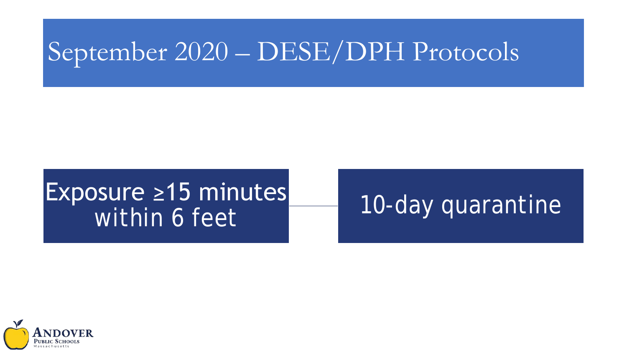# September 2020 – DESE/DPH Protocols

# Exposure ≥15 minutes<br>Within 6 feet

### 10-day quarantine

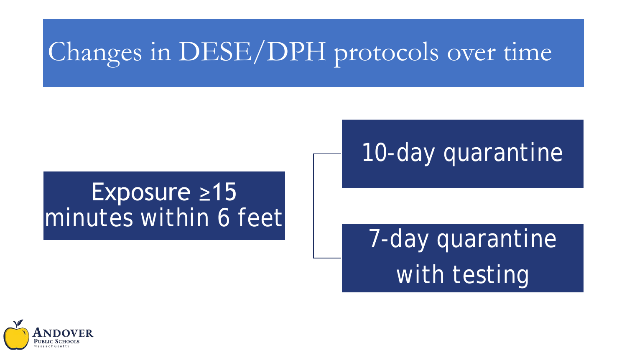# Changes in DESE/DPH protocols over time

### 10-day quarantine

#### Exposure ≥15 minutes within 6 feet

# 7-day quarantine with testing

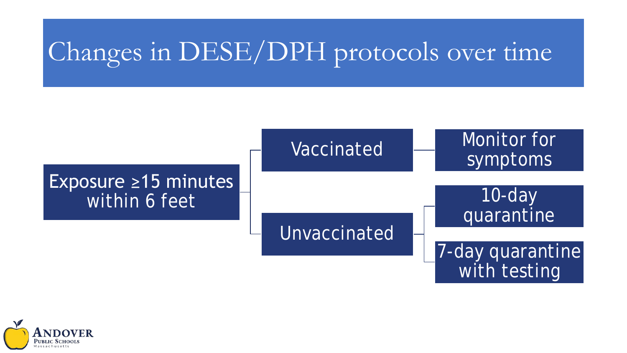# Changes in DESE/DPH protocols over time



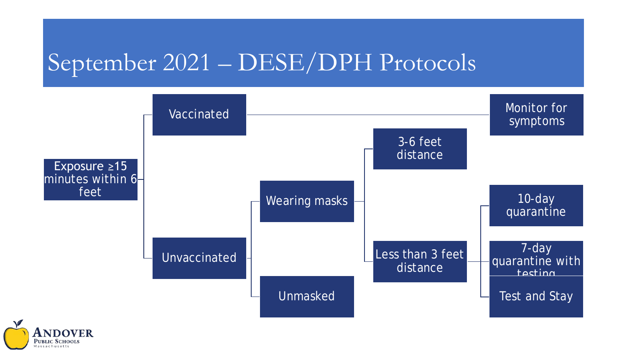### September 2021 – DESE/DPH Protocols



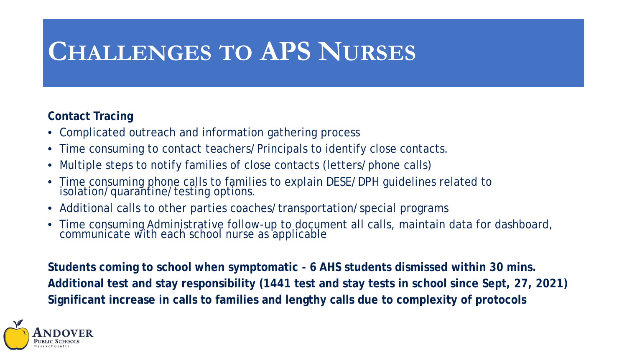### **CHALLENGES TO APS NURSES**

#### **Contact Tracing**

- Complicated outreach and information gathering process
- Time consuming to contact teachers/Principals to identify close contacts.
- Multiple steps to notify families of close contacts (letters/phone calls)
- Time consuming phone calls to families to explain DESE/DPH guidelines related to isolation/quarantine/testing options.
- Additional calls to other parties coaches/transportation/special programs
- Time consuming Administrative follow-up to document all calls, maintain data for dashboard, communicate with each school nurse as applicable

**Students coming to school when symptomatic - 6 AHS students dismissed within 30 mins. Additional test and stay responsibility (1441 test and stay tests in school since Sept, 27, 2021) Significant increase in calls to families and lengthy calls due to complexity of protocols**

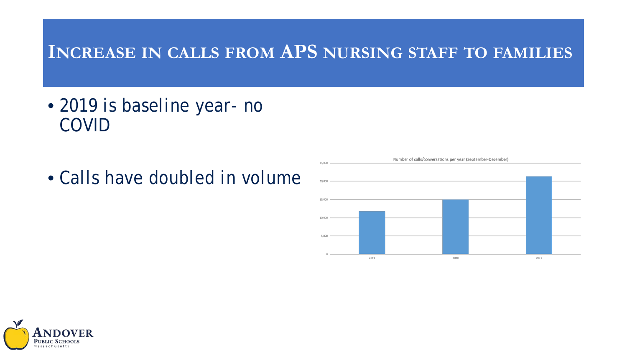#### **INCREASE IN CALLS FROM APS NURSING STAFF TO FAMILIES**

- *2019 is baseline year- no COVID*
- *Calls have doubled in volume*



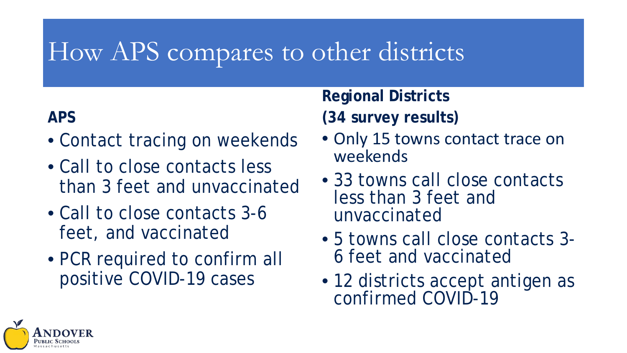### How APS compares to other districts

#### **APS**

- Contact tracing on weekends
- Call to close contacts less than 3 feet and unvaccinated
- Call to close contacts 3-6 feet, and vaccinated
- PCR required to confirm all positive COVID-19 cases

# **Regional Districts**

- **(34 survey results)**
- Only 15 towns contact trace on weekends
- 33 towns call close contacts less than 3 feet and unvaccinated
- 5 towns call close contacts 3- 6 feet and vaccinated
- 12 districts accept antigen as confirmed COVID-19

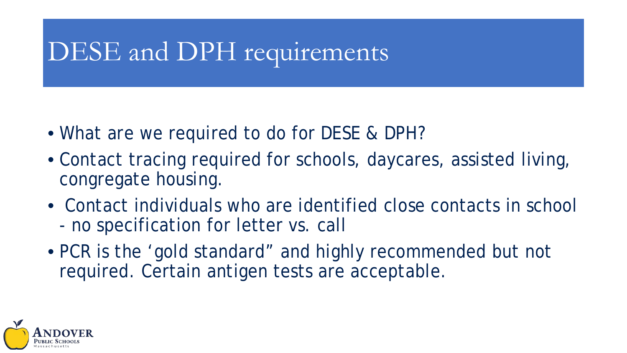# DESE and DPH requirements

- What are we required to do for DESE & DPH?
- Contact tracing required for schools, daycares, assisted living, congregate housing.
- Contact individuals who are identified close contacts in school - no specification for letter vs. call
- PCR is the 'gold standard" and highly recommended but not required. Certain antigen tests are acceptable.